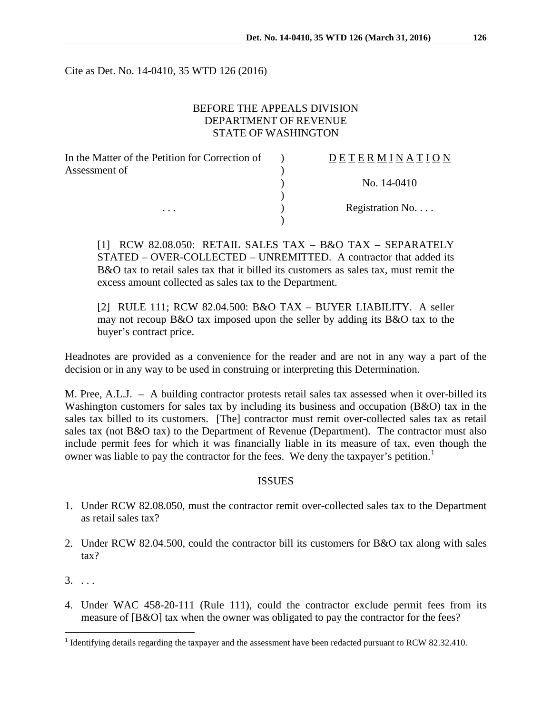Cite as Det. No. 14-0410, 35 WTD 126 (2016)

# BEFORE THE APPEALS DIVISION DEPARTMENT OF REVENUE STATE OF WASHINGTON

| In the Matter of the Petition for Correction of | DETERMINATION   |
|-------------------------------------------------|-----------------|
| Assessment of<br>$\cdots$                       |                 |
|                                                 | No. 14-0410     |
|                                                 |                 |
|                                                 | Registration No |
|                                                 |                 |

[1] RCW 82.08.050: RETAIL SALES TAX – B&O TAX – SEPARATELY STATED – OVER-COLLECTED – UNREMITTED. A contractor that added its B&O tax to retail sales tax that it billed its customers as sales tax, must remit the excess amount collected as sales tax to the Department.

[2] RULE 111; RCW 82.04.500: B&O TAX – BUYER LIABILITY. A seller may not recoup B&O tax imposed upon the seller by adding its B&O tax to the buyer's contract price.

Headnotes are provided as a convenience for the reader and are not in any way a part of the decision or in any way to be used in construing or interpreting this Determination.

M. Pree, A.L.J. – A building contractor protests retail sales tax assessed when it over-billed its Washington customers for sales tax by including its business and occupation (B&O) tax in the sales tax billed to its customers. [The] contractor must remit over-collected sales tax as retail sales tax (not B&O tax) to the Department of Revenue (Department). The contractor must also include permit fees for which it was financially liable in its measure of tax, even though the owner was liable to pay the contractor for the fees. We deny the taxpayer's petition.<sup>[1](#page-0-0)</sup>

### ISSUES

- 1. Under RCW 82.08.050, must the contractor remit over-collected sales tax to the Department as retail sales tax?
- 2. Under RCW 82.04.500, could the contractor bill its customers for B&O tax along with sales tax?
- $3. \ldots$
- 4. Under WAC 458-20-111 (Rule 111), could the contractor exclude permit fees from its measure of [B&O] tax when the owner was obligated to pay the contractor for the fees?

<span id="page-0-0"></span><sup>&</sup>lt;sup>1</sup> Identifying details regarding the taxpayer and the assessment have been redacted pursuant to RCW 82.32.410.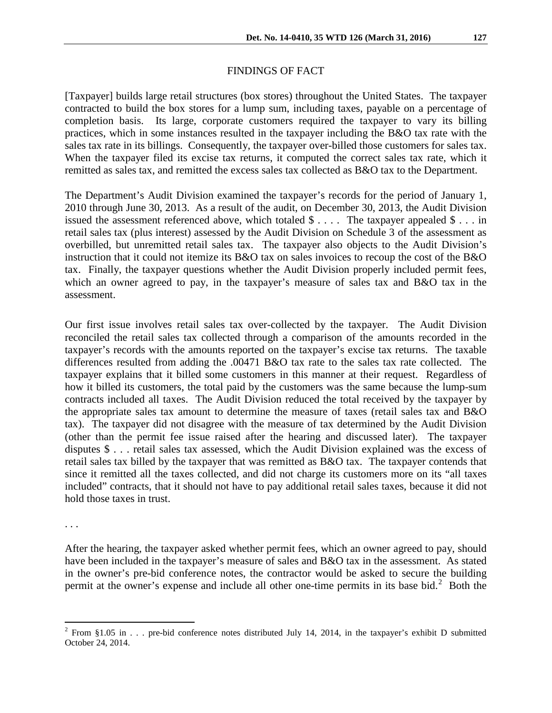### FINDINGS OF FACT

[Taxpayer] builds large retail structures (box stores) throughout the United States. The taxpayer contracted to build the box stores for a lump sum, including taxes, payable on a percentage of completion basis. Its large, corporate customers required the taxpayer to vary its billing practices, which in some instances resulted in the taxpayer including the B&O tax rate with the sales tax rate in its billings. Consequently, the taxpayer over-billed those customers for sales tax. When the taxpayer filed its excise tax returns, it computed the correct sales tax rate, which it remitted as sales tax, and remitted the excess sales tax collected as B&O tax to the Department.

The Department's Audit Division examined the taxpayer's records for the period of January 1, 2010 through June 30, 2013. As a result of the audit, on December 30, 2013, the Audit Division issued the assessment referenced above, which totaled  $\text{\$} \ldots$ . The taxpayer appealed  $\text{\$} \ldots$  in retail sales tax (plus interest) assessed by the Audit Division on Schedule 3 of the assessment as overbilled, but unremitted retail sales tax. The taxpayer also objects to the Audit Division's instruction that it could not itemize its B&O tax on sales invoices to recoup the cost of the B&O tax. Finally, the taxpayer questions whether the Audit Division properly included permit fees, which an owner agreed to pay, in the taxpayer's measure of sales tax and B&O tax in the assessment.

Our first issue involves retail sales tax over-collected by the taxpayer. The Audit Division reconciled the retail sales tax collected through a comparison of the amounts recorded in the taxpayer's records with the amounts reported on the taxpayer's excise tax returns. The taxable differences resulted from adding the .00471 B&O tax rate to the sales tax rate collected. The taxpayer explains that it billed some customers in this manner at their request. Regardless of how it billed its customers, the total paid by the customers was the same because the lump-sum contracts included all taxes. The Audit Division reduced the total received by the taxpayer by the appropriate sales tax amount to determine the measure of taxes (retail sales tax and B&O tax). The taxpayer did not disagree with the measure of tax determined by the Audit Division (other than the permit fee issue raised after the hearing and discussed later). The taxpayer disputes \$ . . . retail sales tax assessed, which the Audit Division explained was the excess of retail sales tax billed by the taxpayer that was remitted as B&O tax. The taxpayer contends that since it remitted all the taxes collected, and did not charge its customers more on its "all taxes included" contracts, that it should not have to pay additional retail sales taxes, because it did not hold those taxes in trust.

. . .

After the hearing, the taxpayer asked whether permit fees, which an owner agreed to pay, should have been included in the taxpayer's measure of sales and B&O tax in the assessment. As stated in the owner's pre-bid conference notes, the contractor would be asked to secure the building permit at the owner's expense and include all other one-time permits in its base bid. $2$  Both the

<span id="page-1-0"></span><sup>&</sup>lt;sup>2</sup> From §1.05 in . . . pre-bid conference notes distributed July 14, 2014, in the taxpayer's exhibit D submitted October 24, 2014.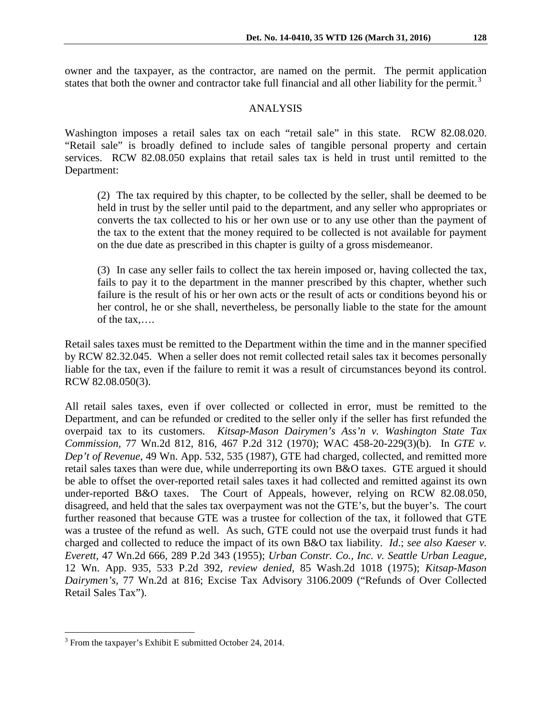owner and the taxpayer, as the contractor, are named on the permit. The permit application states that both the owner and contractor take full financial and all other liability for the permit.<sup>[3](#page-2-0)</sup>

#### ANALYSIS

Washington imposes a retail sales tax on each "retail sale" in this state. RCW 82.08.020. "Retail sale" is broadly defined to include sales of tangible personal property and certain services. RCW 82.08.050 explains that retail sales tax is held in trust until remitted to the Department:

(2) The tax required by this chapter, to be collected by the seller, shall be deemed to be held in trust by the seller until paid to the department, and any seller who appropriates or converts the tax collected to his or her own use or to any use other than the payment of the tax to the extent that the money required to be collected is not available for payment on the due date as prescribed in this chapter is guilty of a gross misdemeanor.

(3) In case any seller fails to collect the tax herein imposed or, having collected the tax, fails to pay it to the department in the manner prescribed by this chapter, whether such failure is the result of his or her own acts or the result of acts or conditions beyond his or her control, he or she shall, nevertheless, be personally liable to the state for the amount of the tax,….

Retail sales taxes must be remitted to the Department within the time and in the manner specified by RCW 82.32.045. When a seller does not remit collected retail sales tax it becomes personally liable for the tax, even if the failure to remit it was a result of circumstances beyond its control. RCW 82.08.050(3).

All retail sales taxes, even if over collected or collected in error, must be remitted to the Department, and can be refunded or credited to the seller only if the seller has first refunded the overpaid tax to its customers. *Kitsap-Mason Dairymen's Ass'n v. Washington State Tax Commission,* 77 Wn.2d 812, 816, 467 P.2d 312 (1970); WAC 458-20-229(3)(b). In *GTE v. Dep't of Revenue*, 49 Wn. App. 532, 535 (1987), GTE had charged, collected, and remitted more retail sales taxes than were due, while underreporting its own B&O taxes. GTE argued it should be able to offset the over-reported retail sales taxes it had collected and remitted against its own under-reported B&O taxes. The Court of Appeals, however, relying on RCW 82.08.050, disagreed, and held that the sales tax overpayment was not the GTE's, but the buyer's. The court further reasoned that because GTE was a trustee for collection of the tax, it followed that GTE was a trustee of the refund as well. As such, GTE could not use the overpaid trust funds it had charged and collected to reduce the impact of its own B&O tax liability. *Id*.; *see also [Kaeser v.](https://web2.westlaw.com/find/default.wl?mt=Tax&db=661&rs=WLW13.01&tc=-1&rp=%2ffind%2fdefault.wl&findtype=Y&ordoc=1987131881&serialnum=1955103979&vr=2.0&fn=_top&sv=Split&tf=-1&pbc=9297350A&utid=3)  Everett,* [47 Wn.2d 666, 289 P.2d 343 \(1955\);](https://web2.westlaw.com/find/default.wl?mt=Tax&db=661&rs=WLW13.01&tc=-1&rp=%2ffind%2fdefault.wl&findtype=Y&ordoc=1987131881&serialnum=1955103979&vr=2.0&fn=_top&sv=Split&tf=-1&pbc=9297350A&utid=3) *[Urban Constr. Co., Inc. v. Seattle Urban League,](https://web2.westlaw.com/find/default.wl?mt=Tax&db=661&rs=WLW13.01&tc=-1&rp=%2ffind%2fdefault.wl&findtype=Y&ordoc=1987131881&serialnum=1975125800&vr=2.0&fn=_top&sv=Split&tf=-1&pbc=9297350A&utid=3)* [12 Wn. App. 935, 533 P.2d 392,](https://web2.westlaw.com/find/default.wl?mt=Tax&db=661&rs=WLW13.01&tc=-1&rp=%2ffind%2fdefault.wl&findtype=Y&ordoc=1987131881&serialnum=1975125800&vr=2.0&fn=_top&sv=Split&tf=-1&pbc=9297350A&utid=3) *review denied,* [85 Wash.2d 1018 \(1975\);](https://web2.westlaw.com/find/default.wl?mt=Tax&db=804&rs=WLW13.01&tc=-1&rp=%2ffind%2fdefault.wl&findtype=Y&ordoc=1987131881&serialnum=1975028118&vr=2.0&fn=_top&sv=Split&tf=-1&pbc=9297350A&utid=3) *Kitsap-Mason Dairymen's,* 77 Wn.2d at 816; Excise Tax Advisory 3106.2009 ("Refunds of Over Collected Retail Sales Tax").

<span id="page-2-0"></span> $3$  From the taxpayer's Exhibit E submitted October 24, 2014.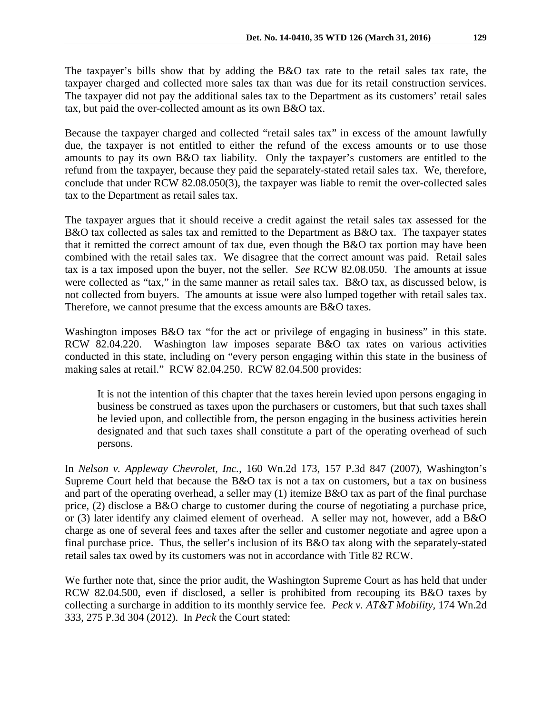Because the taxpayer charged and collected "retail sales tax" in excess of the amount lawfully due, the taxpayer is not entitled to either the refund of the excess amounts or to use those amounts to pay its own B&O tax liability. Only the taxpayer's customers are entitled to the refund from the taxpayer, because they paid the separately-stated retail sales tax. We, therefore, conclude that under RCW 82.08.050(3), the taxpayer was liable to remit the over-collected sales tax to the Department as retail sales tax.

The taxpayer argues that it should receive a credit against the retail sales tax assessed for the B&O tax collected as sales tax and remitted to the Department as B&O tax. The taxpayer states that it remitted the correct amount of tax due, even though the B&O tax portion may have been combined with the retail sales tax. We disagree that the correct amount was paid. Retail sales tax is a tax imposed upon the buyer, not the seller. *See* RCW 82.08.050. The amounts at issue were collected as "tax," in the same manner as retail sales tax. B&O tax, as discussed below, is not collected from buyers. The amounts at issue were also lumped together with retail sales tax. Therefore, we cannot presume that the excess amounts are B&O taxes.

Washington imposes B&O tax "for the act or privilege of engaging in business" in this state. RCW 82.04.220. Washington law imposes separate B&O tax rates on various activities conducted in this state, including on "every person engaging within this state in the business of making sales at retail." RCW 82.04.250. RCW 82.04.500 provides:

It is not the intention of this chapter that the taxes herein levied upon persons engaging in business be construed as taxes upon the purchasers or customers, but that such taxes shall be levied upon, and collectible from, the person engaging in the business activities herein designated and that such taxes shall constitute a part of the operating overhead of such persons.

In *Nelson v. Appleway Chevrolet, Inc.*, 160 Wn.2d 173, 157 P.3d 847 (2007), Washington's Supreme Court held that because the B&O tax is not a tax on customers, but a tax on business and part of the operating overhead, a seller may (1) itemize B&O tax as part of the final purchase price, (2) disclose a B&O charge to customer during the course of negotiating a purchase price, or (3) later identify any claimed element of overhead. A seller may not, however, add a B&O charge as one of several fees and taxes after the seller and customer negotiate and agree upon a final purchase price. Thus, the seller's inclusion of its B&O tax along with the separately-stated retail sales tax owed by its customers was not in accordance with Title 82 RCW.

We further note that, since the prior audit, the Washington Supreme Court as has held that under RCW 82.04.500, even if disclosed, a seller is prohibited from recouping its B&O taxes by collecting a surcharge in addition to its monthly service fee. *Peck v. AT&T Mobility,* 174 Wn.2d 333, 275 P.3d 304 (2012). In *Peck* the Court stated: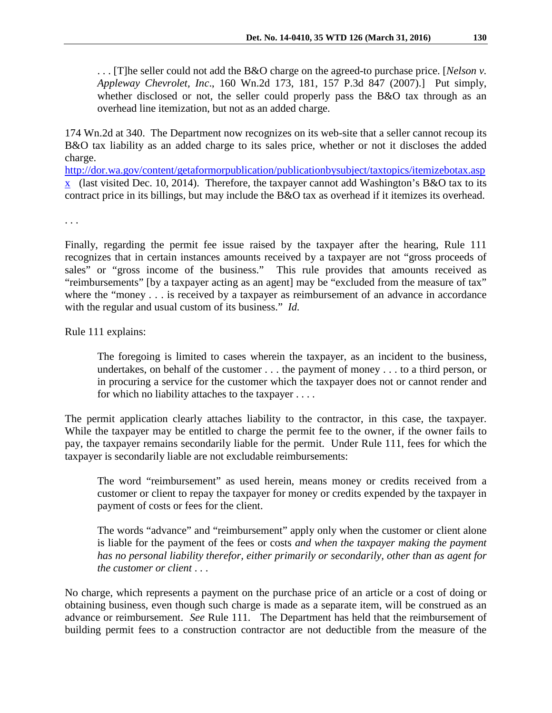. . . [T]he seller could not add the B&O charge on the agreed-to purchase price. [*Nelson v. Appleway Chevrolet, Inc*., 160 Wn.2d 173, 181, 157 P.3d 847 (2007).] Put simply, whether disclosed or not, the seller could properly pass the B&O tax through as an overhead line itemization, but not as an added charge.

174 Wn.2d at 340. The Department now recognizes on its web-site that a seller cannot recoup its B&O tax liability as an added charge to its sales price, whether or not it discloses the added charge.

[http://dor.wa.gov/content/getaformorpublication/publicationbysubject/taxtopics/itemizebotax.asp](http://dor.wa.gov/content/getaformorpublication/publicationbysubject/taxtopics/itemizebotax.aspx)  $\overline{x}$  (last visited Dec. 10, 2014). Therefore, the taxpayer cannot add Washington's B&O ta[x](http://dor.wa.gov/content/getaformorpublication/publicationbysubject/taxtopics/itemizebotax.aspx) to its contract price in its billings, but may include the B&O tax as overhead if it itemizes its overhead.

. . .

Finally, regarding the permit fee issue raised by the taxpayer after the hearing, Rule 111 recognizes that in certain instances amounts received by a taxpayer are not "gross proceeds of sales" or "gross income of the business." This rule provides that amounts received as "reimbursements" [by a taxpayer acting as an agent] may be "excluded from the measure of tax" where the "money . . . is received by a taxpayer as reimbursement of an advance in accordance with the regular and usual custom of its business." *Id.*

Rule 111 explains:

The foregoing is limited to cases wherein the taxpayer, as an incident to the business, undertakes, on behalf of the customer . . . the payment of money . . . to a third person, or in procuring a service for the customer which the taxpayer does not or cannot render and for which no liability attaches to the taxpayer . . . .

The permit application clearly attaches liability to the contractor, in this case, the taxpayer. While the taxpayer may be entitled to charge the permit fee to the owner, if the owner fails to pay, the taxpayer remains secondarily liable for the permit. Under Rule 111, fees for which the taxpayer is secondarily liable are not excludable reimbursements:

The word "reimbursement" as used herein, means money or credits received from a customer or client to repay the taxpayer for money or credits expended by the taxpayer in payment of costs or fees for the client.

The words "advance" and "reimbursement" apply only when the customer or client alone is liable for the payment of the fees or costs *and when the taxpayer making the payment has no personal liability therefor, either primarily or secondarily, other than as agent for the customer or client* . . .

No charge, which represents a payment on the purchase price of an article or a cost of doing or obtaining business, even though such charge is made as a separate item, will be construed as an advance or reimbursement. *See* Rule 111. The Department has held that the reimbursement of building permit fees to a construction contractor are not deductible from the measure of the